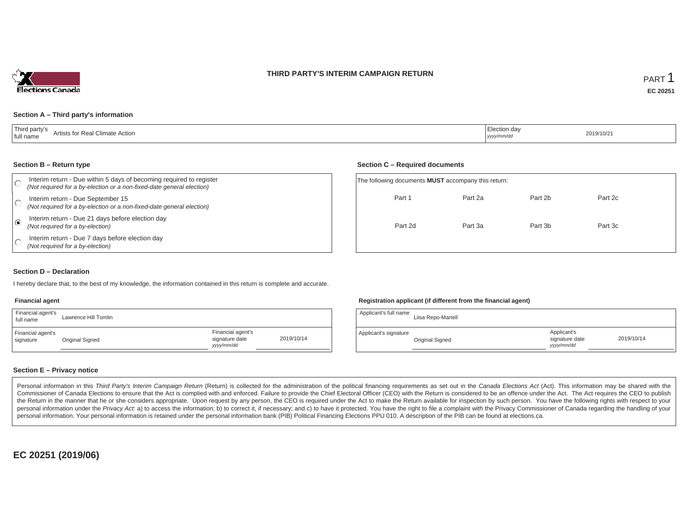### **THIRD PARTY'S INTERIM CAMPAIGN RETURN**



#### **Section A – Third party's information**

| 'Third party's<br>Artists for Real Climate Action<br>' full name | lection dav<br>2019/10/21<br><sub>I</sub> yyyy/mm/dd |  |
|------------------------------------------------------------------|------------------------------------------------------|--|
|------------------------------------------------------------------|------------------------------------------------------|--|

#### **Section B – Return type**

|                         | Interim return - Due within 5 days of becoming required to register<br>(Not required for a by-election or a non-fixed-date general election) | The following documents <b>MUST</b> accompany this return: |         |         |         |  |
|-------------------------|----------------------------------------------------------------------------------------------------------------------------------------------|------------------------------------------------------------|---------|---------|---------|--|
|                         | Interim return - Due September 15<br>(Not required for a by-election or a non-fixed-date general election)                                   | Part 1                                                     | Part 2a | Part 2b | Part 2c |  |
| $\overline{\mathbf{G}}$ | Interim return - Due 21 days before election day<br>(Not required for a by-election)                                                         | Part 2d                                                    | Part 3a | Part 3b | Part 3c |  |
|                         | Interim return - Due 7 days before election day<br>(Not required for a by-election)                                                          |                                                            |         |         |         |  |

#### **Section D – Declaration**

I hereby declare that, to the best of my knowledge, the information contained in this return is complete and accurate.

#### **Financial agent**

| Financial agent's<br>full name | Lawrence Hill Tomlin |                                                  |            |
|--------------------------------|----------------------|--------------------------------------------------|------------|
| Financial agent's<br>signature | Original Signed      | Financial agent's<br>signature date<br>vyy/mm/dd | 2019/10/14 |

#### **Registration applicant (if different from the financial agent)**

| Applicant's full name | Liisa Repo-Martell |                                            |            |
|-----------------------|--------------------|--------------------------------------------|------------|
| Applicant's signature | Original Signed    | Applicant's<br>signature date<br>vyy/mm/dd | 2019/10/14 |

#### **Section E – Privacy notice**

Personal information in this Third Party's Interim Campaign Return (Return) is collected for the administration of the political financing requirements as set out in the Canada Elections Act (Act). This information may be Commissioner of Canada Elections to ensure that the Act is complied with and enforced. Failure to provide the Chief Electoral Officer (CEO) with the Return is considered to be an offence under the Act. The Act requires the the Return in the manner that he or she considers appropriate. Upon request by any person, the CEO is required under the Act to make the Return available for inspection by such person. You have the following rights with re personal information under the Privacy Act. a) to access the information; b) to correct it, if necessary; and c) to have it protected. You have the right to file a complaint with the Privacy Commissioner of Canada regardin personal information. Your personal information is retained under the personal information bank (PIB) Political Financing Elections PPU 010. A description of the PIB can be found at elections.ca.

**EC 20251 (2019/06)**

#### **Section C – Required documents**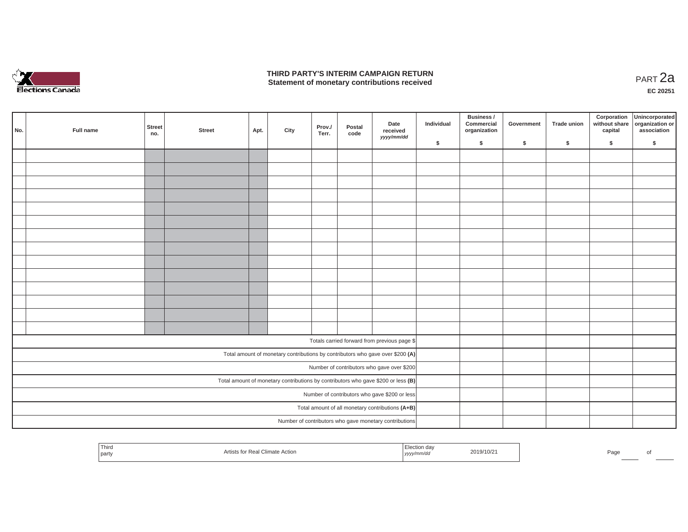

### **THIRD PARTY'S INTERIM CAMPAIGN RETURN THIRD PARTY'S INTERIM CAMPAIGN RETURN<br>Statement of monetary contributions received PART 2a**

| No. | Full name | Street<br>no. | <b>Street</b> | Apt. | City | Prov./<br>Terr. | Postal<br>code | Date<br>received                                                                  | Individual | Business /<br>Commercial<br>organization | Government | Trade union | Corporation | Unincorporated<br>without share<br>capital dissociation or<br>association |
|-----|-----------|---------------|---------------|------|------|-----------------|----------------|-----------------------------------------------------------------------------------|------------|------------------------------------------|------------|-------------|-------------|---------------------------------------------------------------------------|
|     |           |               |               |      |      |                 |                | yyyy/mm/dd                                                                        | \$         | \$                                       | \$         | $\sqrt{2}$  | \$          | \$                                                                        |
|     |           |               |               |      |      |                 |                |                                                                                   |            |                                          |            |             |             |                                                                           |
|     |           |               |               |      |      |                 |                |                                                                                   |            |                                          |            |             |             |                                                                           |
|     |           |               |               |      |      |                 |                |                                                                                   |            |                                          |            |             |             |                                                                           |
|     |           |               |               |      |      |                 |                |                                                                                   |            |                                          |            |             |             |                                                                           |
|     |           |               |               |      |      |                 |                |                                                                                   |            |                                          |            |             |             |                                                                           |
|     |           |               |               |      |      |                 |                |                                                                                   |            |                                          |            |             |             |                                                                           |
|     |           |               |               |      |      |                 |                |                                                                                   |            |                                          |            |             |             |                                                                           |
|     |           |               |               |      |      |                 |                |                                                                                   |            |                                          |            |             |             |                                                                           |
|     |           |               |               |      |      |                 |                |                                                                                   |            |                                          |            |             |             |                                                                           |
|     |           |               |               |      |      |                 |                |                                                                                   |            |                                          |            |             |             |                                                                           |
|     |           |               |               |      |      |                 |                |                                                                                   |            |                                          |            |             |             |                                                                           |
|     |           |               |               |      |      |                 |                |                                                                                   |            |                                          |            |             |             |                                                                           |
|     |           |               |               |      |      |                 |                |                                                                                   |            |                                          |            |             |             |                                                                           |
|     |           |               |               |      |      |                 |                |                                                                                   |            |                                          |            |             |             |                                                                           |
|     |           |               |               |      |      |                 |                |                                                                                   |            |                                          |            |             |             |                                                                           |
|     |           |               |               |      |      |                 |                | Totals carried forward from previous page \$                                      |            |                                          |            |             |             |                                                                           |
|     |           |               |               |      |      |                 |                | Total amount of monetary contributions by contributors who gave over \$200 (A)    |            |                                          |            |             |             |                                                                           |
|     |           |               |               |      |      |                 |                | Number of contributors who gave over \$200                                        |            |                                          |            |             |             |                                                                           |
|     |           |               |               |      |      |                 |                | Total amount of monetary contributions by contributors who gave \$200 or less (B) |            |                                          |            |             |             |                                                                           |
|     |           |               |               |      |      |                 |                | Number of contributors who gave \$200 or less                                     |            |                                          |            |             |             |                                                                           |
|     |           |               |               |      |      |                 |                | Total amount of all monetary contributions (A+B)                                  |            |                                          |            |             |             |                                                                           |
|     |           |               |               |      |      |                 |                | Number of contributors who gave monetary contributions                            |            |                                          |            |             |             |                                                                           |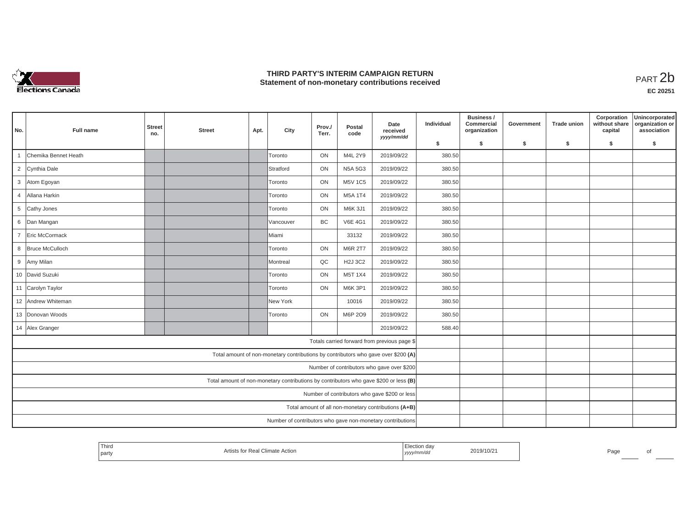

## **THIRD PARTY'S INTERIM CAMPAIGN RETURN**  THIRD PARTY'S INTERIM CAMPAIGN RETURN<br>Statement of non-monetary contributions received<br>**PART 2**b

| No.            | Full name            | <b>Street</b><br>no. | <b>Street</b> | Apt. | City                                                                                  | Prov./<br>Terr. | Postal<br>code | Date<br>received<br>yyyy/mm/dd                       | Individual | Business /<br>Commercial<br>organization | Government | <b>Trade union</b> | Corporation<br>without share<br>capital | Unincorporated<br>organization or<br>association |
|----------------|----------------------|----------------------|---------------|------|---------------------------------------------------------------------------------------|-----------------|----------------|------------------------------------------------------|------------|------------------------------------------|------------|--------------------|-----------------------------------------|--------------------------------------------------|
|                |                      |                      |               |      |                                                                                       |                 |                |                                                      | \$         | \$                                       | \$         | \$                 | \$                                      | \$                                               |
|                | Chemika Bennet Heath |                      |               |      | Toronto                                                                               | ON              | M4L 2Y9        | 2019/09/22                                           | 380.50     |                                          |            |                    |                                         |                                                  |
|                | 2 Cynthia Dale       |                      |               |      | Stratford                                                                             | ON              | <b>N5A 5G3</b> | 2019/09/22                                           | 380.50     |                                          |            |                    |                                         |                                                  |
|                | 3 Atom Egoyan        |                      |               |      | Toronto                                                                               | ON              | <b>M5V 1C5</b> | 2019/09/22                                           | 380.50     |                                          |            |                    |                                         |                                                  |
|                | 4 Allana Harkin      |                      |               |      | Toronto                                                                               | ON              | M5A 1T4        | 2019/09/22                                           | 380.50     |                                          |            |                    |                                         |                                                  |
| 5 <sup>5</sup> | Cathy Jones          |                      |               |      | Toronto                                                                               | ON              | M6K 3J1        | 2019/09/22                                           | 380.50     |                                          |            |                    |                                         |                                                  |
|                | 6 Dan Mangan         |                      |               |      | Vancouver                                                                             | BC              | <b>V6E 4G1</b> | 2019/09/22                                           | 380.50     |                                          |            |                    |                                         |                                                  |
| $7^{\circ}$    | Eric McCormack       |                      |               |      | <b>Miami</b>                                                                          |                 | 33132          | 2019/09/22                                           | 380.50     |                                          |            |                    |                                         |                                                  |
|                | 8 Bruce McCulloch    |                      |               |      | Toronto                                                                               | ON              | <b>M6R 2T7</b> | 2019/09/22                                           | 380.50     |                                          |            |                    |                                         |                                                  |
|                | 9 Amy Milan          |                      |               |      | Montreal                                                                              | QC              | <b>H2J 3C2</b> | 2019/09/22                                           | 380.50     |                                          |            |                    |                                         |                                                  |
|                | 10 David Suzuki      |                      |               |      | Toronto                                                                               | ON              | M5T 1X4        | 2019/09/22                                           | 380.50     |                                          |            |                    |                                         |                                                  |
|                | 11 Carolyn Taylor    |                      |               |      | Toronto                                                                               | ON              | M6K 3P1        | 2019/09/22                                           | 380.50     |                                          |            |                    |                                         |                                                  |
|                | 12 Andrew Whiteman   |                      |               |      | New York                                                                              |                 | 10016          | 2019/09/22                                           | 380.50     |                                          |            |                    |                                         |                                                  |
|                | 13 Donovan Woods     |                      |               |      | Toronto                                                                               | ON              | M6P 2O9        | 2019/09/22                                           | 380.50     |                                          |            |                    |                                         |                                                  |
|                | 14 Alex Granger      |                      |               |      |                                                                                       |                 |                | 2019/09/22                                           | 588.40     |                                          |            |                    |                                         |                                                  |
|                |                      |                      |               |      |                                                                                       |                 |                | Totals carried forward from previous page \$         |            |                                          |            |                    |                                         |                                                  |
|                |                      |                      |               |      | Total amount of non-monetary contributions by contributors who gave over \$200 (A)    |                 |                |                                                      |            |                                          |            |                    |                                         |                                                  |
|                |                      |                      |               |      |                                                                                       |                 |                | Number of contributors who gave over \$200           |            |                                          |            |                    |                                         |                                                  |
|                |                      |                      |               |      | Total amount of non-monetary contributions by contributors who gave \$200 or less (B) |                 |                |                                                      |            |                                          |            |                    |                                         |                                                  |
|                |                      |                      |               |      |                                                                                       |                 |                | Number of contributors who gave \$200 or less        |            |                                          |            |                    |                                         |                                                  |
|                |                      |                      |               |      |                                                                                       |                 |                | Total amount of all non-monetary contributions (A+B) |            |                                          |            |                    |                                         |                                                  |
|                |                      |                      |               |      | Number of contributors who gave non-monetary contributions                            |                 |                |                                                      |            |                                          |            |                    |                                         |                                                  |

| Third<br>:lection<br>2019/10/21<br>$\Gamma$<br>l Climate Action<br>Re.<br>l partv<br>  yyyy/mm/dd | Paα∈ |
|---------------------------------------------------------------------------------------------------|------|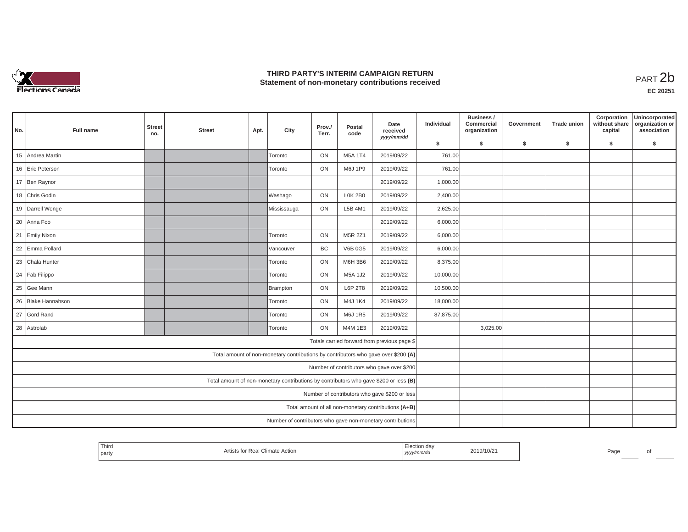

## **THIRD PARTY'S INTERIM CAMPAIGN RETURN**  THIRD PARTY'S INTERIM CAMPAIGN RETURN<br>Statement of non-monetary contributions received<br>**PART 2**b

| No. | Full name          | <b>Street</b><br>no. | <b>Street</b> | Apt. | City                                                                                  | Prov./<br>Terr. | Postal<br>code | Date<br>received<br>yyyy/mm/dd                       | Individual | Business /<br>Commercial<br>organization | Government | <b>Trade union</b> | Corporation<br>without share<br>capital | Unincorporated<br>organization or<br>association |
|-----|--------------------|----------------------|---------------|------|---------------------------------------------------------------------------------------|-----------------|----------------|------------------------------------------------------|------------|------------------------------------------|------------|--------------------|-----------------------------------------|--------------------------------------------------|
|     |                    |                      |               |      |                                                                                       |                 |                |                                                      | \$         | \$                                       | \$         | \$                 | \$                                      | \$                                               |
|     | 15 Andrea Martin   |                      |               |      | Toronto                                                                               | ON              | M5A 1T4        | 2019/09/22                                           | 761.00     |                                          |            |                    |                                         |                                                  |
|     | 16 Eric Peterson   |                      |               |      | Toronto                                                                               | ON              | M6J 1P9        | 2019/09/22                                           | 761.00     |                                          |            |                    |                                         |                                                  |
|     | 17 Ben Raynor      |                      |               |      |                                                                                       |                 |                | 2019/09/22                                           | 1,000.00   |                                          |            |                    |                                         |                                                  |
|     | 18 Chris Godin     |                      |               |      | Washago                                                                               | ON              | <b>L0K 2B0</b> | 2019/09/22                                           | 2,400.00   |                                          |            |                    |                                         |                                                  |
|     | 19 Darrell Wonge   |                      |               |      | Mississauga                                                                           | ON              | L5B 4M1        | 2019/09/22                                           | 2,625.00   |                                          |            |                    |                                         |                                                  |
|     | 20 Anna Foo        |                      |               |      |                                                                                       |                 |                | 2019/09/22                                           | 6,000.00   |                                          |            |                    |                                         |                                                  |
|     | 21 Emily Nixon     |                      |               |      | Toronto                                                                               | ON              | M5R 2Z1        | 2019/09/22                                           | 6,000.00   |                                          |            |                    |                                         |                                                  |
|     | 22 Emma Pollard    |                      |               |      | Vancouver                                                                             | BC              | <b>V6B 0G5</b> | 2019/09/22                                           | 6,000.00   |                                          |            |                    |                                         |                                                  |
|     | 23 Chala Hunter    |                      |               |      | Toronto                                                                               | ON              | M6H 3B6        | 2019/09/22                                           | 8,375.00   |                                          |            |                    |                                         |                                                  |
|     | 24 Fab Filippo     |                      |               |      | Toronto                                                                               | ON              | M5A 1J2        | 2019/09/22                                           | 10,000.00  |                                          |            |                    |                                         |                                                  |
|     | 25 Gee Mann        |                      |               |      | <b>Brampton</b>                                                                       | ON              | L6P 2T8        | 2019/09/22                                           | 10,500.00  |                                          |            |                    |                                         |                                                  |
|     | 26 Blake Hannahson |                      |               |      | Toronto                                                                               | ON              | M4J 1K4        | 2019/09/22                                           | 18,000.00  |                                          |            |                    |                                         |                                                  |
|     | 27 Gord Rand       |                      |               |      | Toronto                                                                               | ON              | M6J 1R5        | 2019/09/22                                           | 87,875.00  |                                          |            |                    |                                         |                                                  |
|     | 28 Astrolab        |                      |               |      | Toronto                                                                               | ON              | M4M 1E3        | 2019/09/22                                           |            | 3,025.00                                 |            |                    |                                         |                                                  |
|     |                    |                      |               |      |                                                                                       |                 |                | Totals carried forward from previous page \$         |            |                                          |            |                    |                                         |                                                  |
|     |                    |                      |               |      | Total amount of non-monetary contributions by contributors who gave over \$200 (A)    |                 |                |                                                      |            |                                          |            |                    |                                         |                                                  |
|     |                    |                      |               |      |                                                                                       |                 |                | Number of contributors who gave over \$200           |            |                                          |            |                    |                                         |                                                  |
|     |                    |                      |               |      | Total amount of non-monetary contributions by contributors who gave \$200 or less (B) |                 |                |                                                      |            |                                          |            |                    |                                         |                                                  |
|     |                    |                      |               |      |                                                                                       |                 |                | Number of contributors who gave \$200 or less        |            |                                          |            |                    |                                         |                                                  |
|     |                    |                      |               |      |                                                                                       |                 |                | Total amount of all non-monetary contributions (A+B) |            |                                          |            |                    |                                         |                                                  |
|     |                    |                      |               |      | Number of contributors who gave non-monetary contributions                            |                 |                |                                                      |            |                                          |            |                    |                                         |                                                  |

| Third                                  |                                 | ∟iection da∨ |           |      |  |
|----------------------------------------|---------------------------------|--------------|-----------|------|--|
| the control of the control of<br>party | Artists for Real Climate Action | yyyy/mm/aa   | 2019/10/2 | Page |  |
|                                        |                                 |              |           |      |  |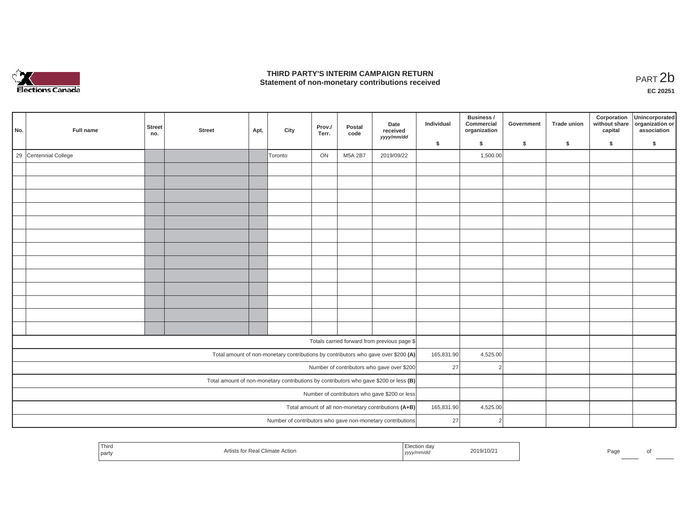

## **THIRD PARTY'S INTERIM CAMPAIGN RETURN**  THIRD PARTY'S INTERIM CAMPAIGN RETURN<br>Statement of non-monetary contributions received<br>**PART 2**b

| No. | Full name             | Street<br>no. | <b>Street</b> | Apt. | City    | Prov./<br>Terr. | Postal<br>code | Date<br>received                                                                      | Individual | Business /<br>Commercial<br>organization | Government | Trade union | Corporation<br>without share<br>capital | Unincorporated<br>organization or<br>association |
|-----|-----------------------|---------------|---------------|------|---------|-----------------|----------------|---------------------------------------------------------------------------------------|------------|------------------------------------------|------------|-------------|-----------------------------------------|--------------------------------------------------|
|     |                       |               |               |      |         |                 | yyyy/mm/dd     |                                                                                       | \$         | $\mathsf{s}$                             | \$         | \$          | \$                                      | \$                                               |
|     | 29 Centennial College |               |               |      | Toronto | ON              | M5A 2B7        | 2019/09/22                                                                            |            | 1,500.00                                 |            |             |                                         |                                                  |
|     |                       |               |               |      |         |                 |                |                                                                                       |            |                                          |            |             |                                         |                                                  |
|     |                       |               |               |      |         |                 |                |                                                                                       |            |                                          |            |             |                                         |                                                  |
|     |                       |               |               |      |         |                 |                |                                                                                       |            |                                          |            |             |                                         |                                                  |
|     |                       |               |               |      |         |                 |                |                                                                                       |            |                                          |            |             |                                         |                                                  |
|     |                       |               |               |      |         |                 |                |                                                                                       |            |                                          |            |             |                                         |                                                  |
|     |                       |               |               |      |         |                 |                |                                                                                       |            |                                          |            |             |                                         |                                                  |
|     |                       |               |               |      |         |                 |                |                                                                                       |            |                                          |            |             |                                         |                                                  |
|     |                       |               |               |      |         |                 |                |                                                                                       |            |                                          |            |             |                                         |                                                  |
|     |                       |               |               |      |         |                 |                |                                                                                       |            |                                          |            |             |                                         |                                                  |
|     |                       |               |               |      |         |                 |                |                                                                                       |            |                                          |            |             |                                         |                                                  |
|     |                       |               |               |      |         |                 |                |                                                                                       |            |                                          |            |             |                                         |                                                  |
|     |                       |               |               |      |         |                 |                |                                                                                       |            |                                          |            |             |                                         |                                                  |
|     |                       |               |               |      |         |                 |                |                                                                                       |            |                                          |            |             |                                         |                                                  |
|     |                       |               |               |      |         |                 |                | Totals carried forward from previous page \$                                          |            |                                          |            |             |                                         |                                                  |
|     |                       |               |               |      |         |                 |                | Total amount of non-monetary contributions by contributors who gave over \$200 (A)    | 165,831.90 | 4,525.00                                 |            |             |                                         |                                                  |
|     |                       |               |               |      |         |                 |                | Number of contributors who gave over \$200                                            | 27         | $\overline{2}$                           |            |             |                                         |                                                  |
|     |                       |               |               |      |         |                 |                | Total amount of non-monetary contributions by contributors who gave \$200 or less (B) |            |                                          |            |             |                                         |                                                  |
|     |                       |               |               |      |         |                 |                | Number of contributors who gave \$200 or less                                         |            |                                          |            |             |                                         |                                                  |
|     |                       |               |               |      |         |                 |                | Total amount of all non-monetary contributions (A+B)                                  | 165,831.90 | 4,525.00                                 |            |             |                                         |                                                  |
|     |                       |               |               |      |         |                 |                | Number of contributors who gave non-monetary contributions                            | 27         | $\mathcal{P}$                            |            |             |                                         |                                                  |

| Third<br>l partv | l Climate Action<br>Кe | ion da'<br>$ $ yyyy $\cdot$<br>,,,,,,,,,, | 2019/10/21 | Pagu |  |
|------------------|------------------------|-------------------------------------------|------------|------|--|
|                  |                        |                                           |            |      |  |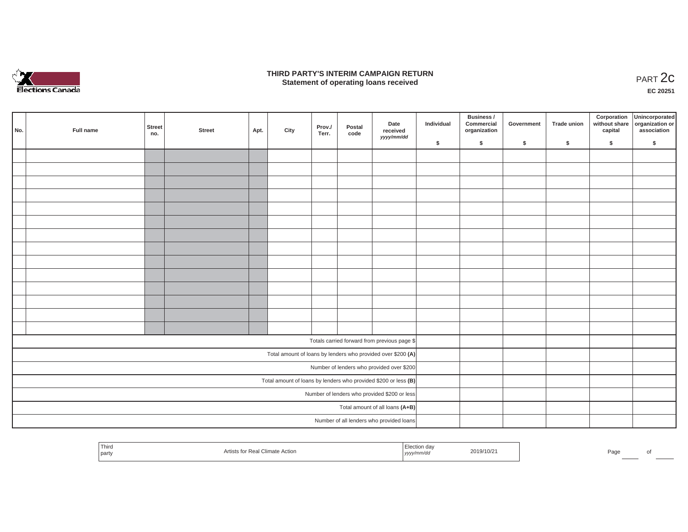

### **THIRD PARTY'S INTERIM CAMPAIGN RETURN**  RD PARTY'S INTERIM CAMPAIGN RETURN<br>Statement of operating loans received **PART 2c**

| No. | Full name | Street<br>no. | <b>Street</b> | Apt. | City | Prov./<br>Terr. | Postal<br>code | Date<br>received<br>yyyy/mm/dd                                    | Individual | Business /<br>Commercial<br>organization | Government | Trade union | Corporation<br>capital | Unincorporated<br>without share organization or<br>association |
|-----|-----------|---------------|---------------|------|------|-----------------|----------------|-------------------------------------------------------------------|------------|------------------------------------------|------------|-------------|------------------------|----------------------------------------------------------------|
|     |           |               |               |      |      |                 |                |                                                                   | \$         | $\mathsf{s}$                             | \$         | \$          | \$                     | \$                                                             |
|     |           |               |               |      |      |                 |                |                                                                   |            |                                          |            |             |                        |                                                                |
|     |           |               |               |      |      |                 |                |                                                                   |            |                                          |            |             |                        |                                                                |
|     |           |               |               |      |      |                 |                |                                                                   |            |                                          |            |             |                        |                                                                |
|     |           |               |               |      |      |                 |                |                                                                   |            |                                          |            |             |                        |                                                                |
|     |           |               |               |      |      |                 |                |                                                                   |            |                                          |            |             |                        |                                                                |
|     |           |               |               |      |      |                 |                |                                                                   |            |                                          |            |             |                        |                                                                |
|     |           |               |               |      |      |                 |                |                                                                   |            |                                          |            |             |                        |                                                                |
|     |           |               |               |      |      |                 |                |                                                                   |            |                                          |            |             |                        |                                                                |
|     |           |               |               |      |      |                 |                |                                                                   |            |                                          |            |             |                        |                                                                |
|     |           |               |               |      |      |                 |                |                                                                   |            |                                          |            |             |                        |                                                                |
|     |           |               |               |      |      |                 |                |                                                                   |            |                                          |            |             |                        |                                                                |
|     |           |               |               |      |      |                 |                |                                                                   |            |                                          |            |             |                        |                                                                |
|     |           |               |               |      |      |                 |                |                                                                   |            |                                          |            |             |                        |                                                                |
|     |           |               |               |      |      |                 |                |                                                                   |            |                                          |            |             |                        |                                                                |
|     |           |               |               |      |      |                 |                | Totals carried forward from previous page \$                      |            |                                          |            |             |                        |                                                                |
|     |           |               |               |      |      |                 |                | Total amount of loans by lenders who provided over \$200 (A)      |            |                                          |            |             |                        |                                                                |
|     |           |               |               |      |      |                 |                | Number of lenders who provided over \$200                         |            |                                          |            |             |                        |                                                                |
|     |           |               |               |      |      |                 |                | Total amount of loans by lenders who provided \$200 or less $(B)$ |            |                                          |            |             |                        |                                                                |
|     |           |               |               |      |      |                 |                | Number of lenders who provided \$200 or less                      |            |                                          |            |             |                        |                                                                |
|     |           |               |               |      |      |                 |                | Total amount of all loans (A+B)                                   |            |                                          |            |             |                        |                                                                |
|     |           |               |               |      |      |                 |                | Number of all lenders who provided loans                          |            |                                          |            |             |                        |                                                                |

| ' Third<br><sup>t</sup> party | ĸe.<br>ACTIOP<br>. <del>. .</del> | was indirections.<br>""mm/uu<br>$1$ yyyy $\prime$ | 2019/10/2 | Page |  |
|-------------------------------|-----------------------------------|---------------------------------------------------|-----------|------|--|
|                               |                                   |                                                   |           |      |  |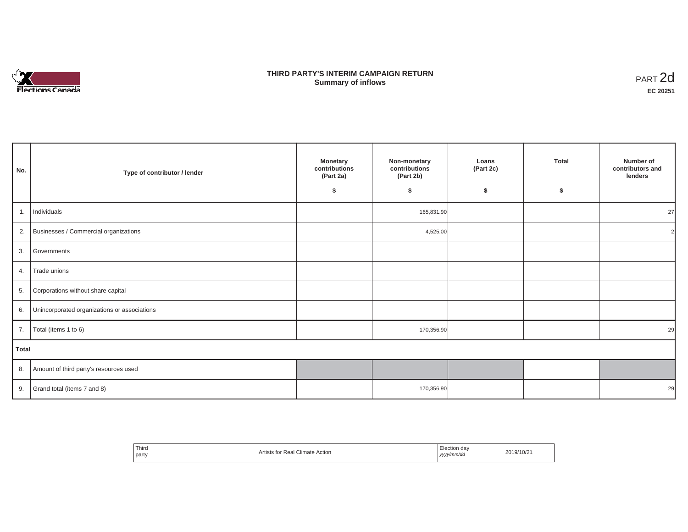

## **THIRD PARTY'S INTERIM CAMPAIGN RETURN SUMMARY STATE SUMMARY OF A SUMMARY OF A SUMMARY OF A SUMMARY OF A SUMMARY OF A SUMMARY OF A SUMMARY OF A SUMMA**<br> **Summary of inflows**

| No.   | Type of contributor / lender                    | <b>Monetary</b><br>contributions<br>(Part 2a)<br>\$ | Non-monetary<br>contributions<br>(Part 2b)<br>\$ | Loans<br>(Part 2c)<br>\$ | <b>Total</b><br>\$ | Number of<br>contributors and<br>lenders |
|-------|-------------------------------------------------|-----------------------------------------------------|--------------------------------------------------|--------------------------|--------------------|------------------------------------------|
| 1.    | Individuals                                     |                                                     | 165,831.90                                       |                          |                    | 27                                       |
|       | 2. Businesses / Commercial organizations        |                                                     | 4,525.00                                         |                          |                    | $\mathcal{P}$                            |
|       | 3. Governments                                  |                                                     |                                                  |                          |                    |                                          |
| 4.    | Trade unions                                    |                                                     |                                                  |                          |                    |                                          |
|       | 5. Corporations without share capital           |                                                     |                                                  |                          |                    |                                          |
|       | 6. Unincorporated organizations or associations |                                                     |                                                  |                          |                    |                                          |
| 7.    | Total (items 1 to 6)                            |                                                     | 170,356.90                                       |                          |                    | 29                                       |
| Total |                                                 |                                                     |                                                  |                          |                    |                                          |
|       | 8. Amount of third party's resources used       |                                                     |                                                  |                          |                    |                                          |
|       | 9. Grand total (items $7$ and $8$ )             |                                                     | 170,356.90                                       |                          |                    | 29                                       |

| Third<br>party | Artists for Real Climate Action | Election day<br>yyyy/mm/dd | 2019/10/21 |
|----------------|---------------------------------|----------------------------|------------|
|----------------|---------------------------------|----------------------------|------------|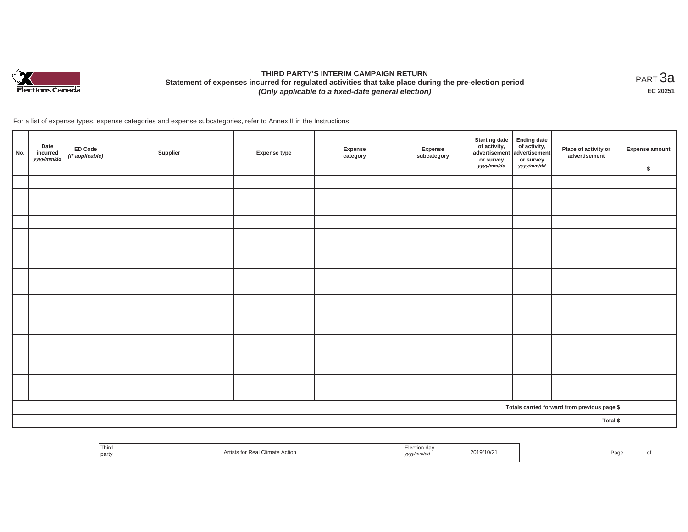

# **THIRD PARTY'S INTERIM CAMPAIGN RETURN Statement of expenses incurred for regulated activities that take place during the pre-election period**  *(Only applicable to a fixed-date general election)*

<code>PART $3$ a</code> **EC 20251**

For a list of expense types, expense categories and expense subcategories, refer to Annex II in the Instructions.

| No. | Date<br>incurred<br>yyyy/mm/dd | <b>ED Code</b><br>(if applicable) | Supplier | <b>Expense type</b> | Expense<br>category | Expense<br>subcategory | <b>Starting date</b><br>of activity, $\begin{vmatrix} 1 & 1 \\ 0 & 0 \end{vmatrix}$ of activity,<br>or survey<br>yyyy/mm/dd | <b>Ending date</b><br>or survey<br>yyyy/mm/dd | Place of activity or<br>advertisement        | <b>Expense amount</b><br>$\sqrt[6]{\frac{1}{2}}$ |
|-----|--------------------------------|-----------------------------------|----------|---------------------|---------------------|------------------------|-----------------------------------------------------------------------------------------------------------------------------|-----------------------------------------------|----------------------------------------------|--------------------------------------------------|
|     |                                |                                   |          |                     |                     |                        |                                                                                                                             |                                               |                                              |                                                  |
|     |                                |                                   |          |                     |                     |                        |                                                                                                                             |                                               |                                              |                                                  |
|     |                                |                                   |          |                     |                     |                        |                                                                                                                             |                                               |                                              |                                                  |
|     |                                |                                   |          |                     |                     |                        |                                                                                                                             |                                               |                                              |                                                  |
|     |                                |                                   |          |                     |                     |                        |                                                                                                                             |                                               |                                              |                                                  |
|     |                                |                                   |          |                     |                     |                        |                                                                                                                             |                                               |                                              |                                                  |
|     |                                |                                   |          |                     |                     |                        |                                                                                                                             |                                               |                                              |                                                  |
|     |                                |                                   |          |                     |                     |                        |                                                                                                                             |                                               |                                              |                                                  |
|     |                                |                                   |          |                     |                     |                        |                                                                                                                             |                                               |                                              |                                                  |
|     |                                |                                   |          |                     |                     |                        |                                                                                                                             |                                               |                                              |                                                  |
|     |                                |                                   |          |                     |                     |                        |                                                                                                                             |                                               |                                              |                                                  |
|     |                                |                                   |          |                     |                     |                        |                                                                                                                             |                                               |                                              |                                                  |
|     |                                |                                   |          |                     |                     |                        |                                                                                                                             |                                               |                                              |                                                  |
|     |                                |                                   |          |                     |                     |                        |                                                                                                                             |                                               |                                              |                                                  |
|     |                                |                                   |          |                     |                     |                        |                                                                                                                             |                                               |                                              |                                                  |
|     |                                |                                   |          |                     |                     |                        |                                                                                                                             |                                               |                                              |                                                  |
|     |                                |                                   |          |                     |                     |                        |                                                                                                                             |                                               |                                              |                                                  |
|     |                                |                                   |          |                     |                     |                        |                                                                                                                             |                                               | Totals carried forward from previous page \$ |                                                  |
|     |                                |                                   |          |                     |                     |                        |                                                                                                                             |                                               | Total \$                                     |                                                  |

| Third<br>' dal<br>2019/10/21<br>$\sim$<br>Climate Action<br>ALUSE.<br>part<br>  yyyy/mm/aa | Page |  |
|--------------------------------------------------------------------------------------------|------|--|
|--------------------------------------------------------------------------------------------|------|--|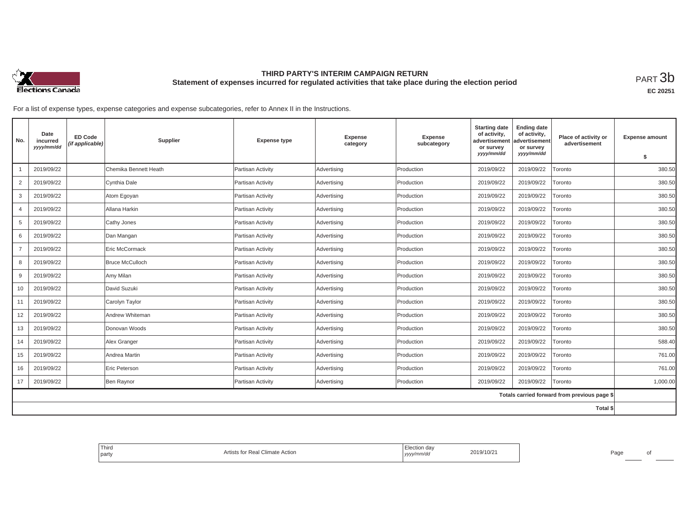

## **THIRD PARTY'S INTERIM CAMPAIGN RETURN Statement of expenses incurred for regulated activities that take place during the election period**<br>РАRТ  $3\mathrm{b}$

**EC 20251**

For a list of expense types, expense categories and expense subcategories, refer to Annex II in the Instructions.

| No.            | Date<br>incurred<br>yyyy/mm/dd | <b>ED Code</b><br>(if applicable) | Supplier               | <b>Expense type</b> | Expense<br>category | <b>Expense</b><br>subcategory | <b>Starting date</b><br>of activity,<br>advertisement<br>or survey<br>yyyy/mm/dd | <b>Ending date</b><br>of activity,<br>advertisement<br>or survey<br>yyyy/mm/dd | Place of activity or<br>advertisement        | <b>Expense amount</b><br>\$ |
|----------------|--------------------------------|-----------------------------------|------------------------|---------------------|---------------------|-------------------------------|----------------------------------------------------------------------------------|--------------------------------------------------------------------------------|----------------------------------------------|-----------------------------|
|                | 2019/09/22                     |                                   | Chemika Bennett Heath  | Partisan Activity   | Advertising         | Production                    | 2019/09/22                                                                       | 2019/09/22                                                                     | Toronto                                      | 380.50                      |
| 2              | 2019/09/22                     |                                   | Cynthia Dale           | Partisan Activity   | Advertising         | Production                    | 2019/09/22                                                                       | 2019/09/22                                                                     | Toronto                                      | 380.50                      |
| 3              | 2019/09/22                     |                                   | Atom Egoyan            | Partisan Activity   | Advertising         | Production                    | 2019/09/22                                                                       | 2019/09/22                                                                     | Toronto                                      | 380.50                      |
| $\overline{4}$ | 2019/09/22                     |                                   | Allana Harkin          | Partisan Activity   | Advertising         | Production                    | 2019/09/22                                                                       | 2019/09/22                                                                     | <b>Foronto</b>                               | 380.50                      |
| 5              | 2019/09/22                     |                                   | Cathy Jones            | Partisan Activity   | Advertising         | Production                    | 2019/09/22                                                                       | 2019/09/22                                                                     | Toronto                                      | 380.50                      |
| 6              | 2019/09/22                     |                                   | Dan Mangan             | Partisan Activity   | Advertising         | Production                    | 2019/09/22                                                                       | 2019/09/22                                                                     | Toronto                                      | 380.50                      |
| $\overline{7}$ | 2019/09/22                     |                                   | Eric McCormack         | Partisan Activity   | Advertising         | Production                    | 2019/09/22                                                                       | 2019/09/22                                                                     | Toronto                                      | 380.50                      |
| 8              | 2019/09/22                     |                                   | <b>Bruce McCulloch</b> | Partisan Activity   | Advertising         | Production                    | 2019/09/22                                                                       | 2019/09/22                                                                     | Toronto                                      | 380.50                      |
| 9              | 2019/09/22                     |                                   | Amy Milan              | Partisan Activity   | Advertising         | Production                    | 2019/09/22                                                                       | 2019/09/22                                                                     | Toronto                                      | 380.50                      |
| 10             | 2019/09/22                     |                                   | David Suzuki           | Partisan Activity   | Advertising         | Production                    | 2019/09/22                                                                       | 2019/09/22                                                                     | Toronto                                      | 380.50                      |
| 11             | 2019/09/22                     |                                   | Carolyn Taylor         | Partisan Activity   | Advertising         | Production                    | 2019/09/22                                                                       | 2019/09/22                                                                     | Toronto                                      | 380.50                      |
| 12             | 2019/09/22                     |                                   | Andrew Whiteman        | Partisan Activity   | Advertising         | Production                    | 2019/09/22                                                                       | 2019/09/22                                                                     | Toronto                                      | 380.50                      |
| 13             | 2019/09/22                     |                                   | Donovan Woods          | Partisan Activity   | Advertising         | Production                    | 2019/09/22                                                                       | 2019/09/22                                                                     | Toronto                                      | 380.50                      |
| 14             | 2019/09/22                     |                                   | Alex Granger           | Partisan Activity   | Advertising         | Production                    | 2019/09/22                                                                       | 2019/09/22                                                                     | Toronto                                      | 588.40                      |
| 15             | 2019/09/22                     |                                   | Andrea Martin          | Partisan Activity   | Advertising         | Production                    | 2019/09/22                                                                       | 2019/09/22                                                                     | <b>Foronto</b>                               | 761.00                      |
| 16             | 2019/09/22                     |                                   | Eric Peterson          | Partisan Activity   | Advertising         | Production                    | 2019/09/22                                                                       | 2019/09/22                                                                     | Toronto                                      | 761.00                      |
| 17             | 2019/09/22                     |                                   | Ben Raynor             | Partisan Activity   | Advertising         | Production                    | 2019/09/22                                                                       | 2019/09/22                                                                     | Toronto                                      | 1,000.00                    |
|                |                                |                                   |                        |                     |                     |                               |                                                                                  |                                                                                | Totals carried forward from previous page \$ |                             |
|                |                                |                                   |                        |                     |                     |                               |                                                                                  |                                                                                | Total \$                                     |                             |

| Third<br>party | Nimate Action <sup>1</sup> | 2019/10/2<br>чини.<br>,,,, | Pagu |
|----------------|----------------------------|----------------------------|------|
|----------------|----------------------------|----------------------------|------|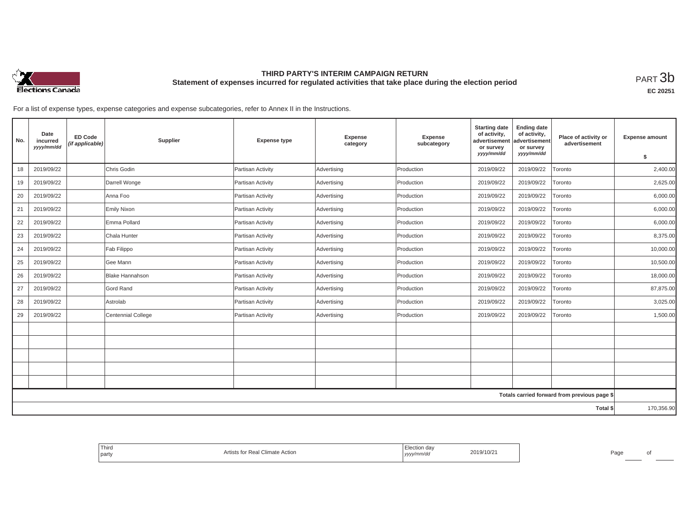

## **THIRD PARTY'S INTERIM CAMPAIGN RETURN Statement of expenses incurred for regulated activities that take place during the election period**<br>РАRТ  $3\mathrm{b}$

**EC 20251**

For a list of expense types, expense categories and expense subcategories, refer to Annex II in the Instructions.

| No. | Date<br>incurred<br>yyyy/mm/dd | <b>ED Code</b><br>(if applicable) | Supplier               | <b>Expense type</b> | Expense<br>category | Expense<br>subcategory | <b>Starting date</b><br>of activity,<br>advertisement<br>or survey<br>yyyy/mm/dd | <b>Ending date</b><br>of activity,<br>advertisement<br>or survey<br>yyyy/mm/dd | Place of activity or<br>advertisement        | <b>Expense amount</b><br>\$ |
|-----|--------------------------------|-----------------------------------|------------------------|---------------------|---------------------|------------------------|----------------------------------------------------------------------------------|--------------------------------------------------------------------------------|----------------------------------------------|-----------------------------|
| 18  | 2019/09/22                     |                                   | Chris Godin            | Partisan Activity   | Advertising         | Production             | 2019/09/22                                                                       | 2019/09/22                                                                     | Toronto                                      | 2,400.00                    |
|     |                                |                                   |                        |                     |                     |                        |                                                                                  |                                                                                |                                              |                             |
| 19  | 2019/09/22                     |                                   | Darrell Wonge          | Partisan Activity   | Advertising         | Production             | 2019/09/22                                                                       | 2019/09/22                                                                     | Toronto                                      | 2,625.00                    |
| 20  | 2019/09/22                     |                                   | Anna Foo               | Partisan Activity   | Advertising         | Production             | 2019/09/22                                                                       | 2019/09/22                                                                     | Toronto                                      | 6,000.00                    |
| 21  | 2019/09/22                     |                                   | <b>Emily Nixon</b>     | Partisan Activity   | Advertising         | Production             | 2019/09/22                                                                       | 2019/09/22                                                                     | Toronto                                      | 6,000.00                    |
| 22  | 2019/09/22                     |                                   | Emma Pollard           | Partisan Activity   | Advertising         | Production             | 2019/09/22                                                                       | 2019/09/22                                                                     | Toronto                                      | 6,000.00                    |
| 23  | 2019/09/22                     |                                   | Chala Hunter           | Partisan Activity   | Advertising         | Production             | 2019/09/22                                                                       | 2019/09/22                                                                     | Toronto                                      | 8,375.00                    |
| 24  | 2019/09/22                     |                                   | Fab Filippo            | Partisan Activity   | Advertising         | Production             | 2019/09/22                                                                       | 2019/09/22                                                                     | Toronto                                      | 10,000.00                   |
| 25  | 2019/09/22                     |                                   | Gee Mann               | Partisan Activity   | Advertising         | Production             | 2019/09/22                                                                       | 2019/09/22                                                                     | Toronto                                      | 10,500.00                   |
| 26  | 2019/09/22                     |                                   | <b>Blake Hannahson</b> | Partisan Activity   | Advertising         | Production             | 2019/09/22                                                                       | 2019/09/22                                                                     | Toronto                                      | 18,000.00                   |
| 27  | 2019/09/22                     |                                   | Gord Rand              | Partisan Activity   | Advertising         | Production             | 2019/09/22                                                                       | 2019/09/22                                                                     | Toronto                                      | 87,875.00                   |
| 28  | 2019/09/22                     |                                   | Astrolab               | Partisan Activity   | Advertising         | Production             | 2019/09/22                                                                       | 2019/09/22                                                                     | Toronto                                      | 3,025.00                    |
| 29  | 2019/09/22                     |                                   | Centennial College     | Partisan Activity   | Advertising         | Production             | 2019/09/22                                                                       | 2019/09/22                                                                     | Toronto                                      | 1,500.00                    |
|     |                                |                                   |                        |                     |                     |                        |                                                                                  |                                                                                |                                              |                             |
|     |                                |                                   |                        |                     |                     |                        |                                                                                  |                                                                                |                                              |                             |
|     |                                |                                   |                        |                     |                     |                        |                                                                                  |                                                                                |                                              |                             |
|     |                                |                                   |                        |                     |                     |                        |                                                                                  |                                                                                |                                              |                             |
|     |                                |                                   |                        |                     |                     |                        |                                                                                  |                                                                                |                                              |                             |
|     |                                |                                   |                        |                     |                     |                        |                                                                                  |                                                                                | Totals carried forward from previous page \$ |                             |
|     |                                |                                   |                        |                     |                     |                        |                                                                                  |                                                                                | Total \$                                     | 170,356.90                  |

| Third<br>' party | l Climate Action<br>ĸe. | tion dav:<br>2019/10/2<br>, yyyy/mm/aa | Pagu |
|------------------|-------------------------|----------------------------------------|------|
|------------------|-------------------------|----------------------------------------|------|